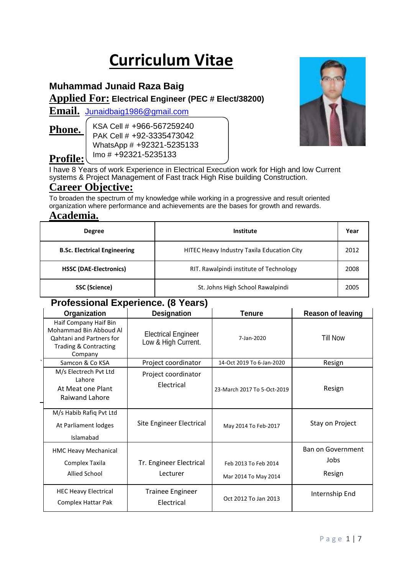# **Curriculum Vitae**

# **Muhammad Junaid Raza Baig**

**Applied For: Electrical Engineer (PEC # Elect/38200)**

**Email.** [Junaidbaig1986@gmail.com](mailto:Junaidbaig1986@gmail.com)

# **Phone.**

**Profile:**

KSA Cell # +966-567259240 PAK Cell # +92-3335473042 WhatsApp # +92321-5235133 Imo # +92321-5235133



I have 8 Years of work Experience in Electrical Execution work for High and low Current systems & Project Management of Fast track High Rise building Construction.

# **Career Objective:**

To broaden the spectrum of my knowledge while working in a progressive and result oriented organization where performance and achievements are the bases for growth and rewards.

# **Academia.**

| <b>Degree</b>                       | Institute                                  |      |
|-------------------------------------|--------------------------------------------|------|
| <b>B.Sc. Electrical Engineering</b> | HITEC Heavy Industry Taxila Education City |      |
| <b>HSSC (DAE-Electronics)</b>       | RIT. Rawalpindi institute of Technology    | 2008 |
| SSC (Science)                       | St. Johns High School Rawalpindi           | 2005 |

# **Professional Experience. (8 Years)**

| $\blacksquare$                                                                                                  |                                                   |                                              |                                            |  |  |  |
|-----------------------------------------------------------------------------------------------------------------|---------------------------------------------------|----------------------------------------------|--------------------------------------------|--|--|--|
| Organization                                                                                                    | <b>Designation</b>                                | <b>Tenure</b>                                | <b>Reason of leaving</b>                   |  |  |  |
| Haif Company Haif Bin<br>Mohammad Bin Abboud Al<br>Qahtani and Partners for<br>Trading & Contracting<br>Company | <b>Electrical Engineer</b><br>Low & High Current. | 7-Jan-2020                                   | Till Now                                   |  |  |  |
| Samcon & Co KSA                                                                                                 | Project coordinator                               | 14-Oct 2019 To 6-Jan-2020                    | Resign                                     |  |  |  |
| M/s Electrech Pvt Ltd<br>Lahore<br>At Meat one Plant<br>Raiwand Lahore                                          | Project coordinator<br>Electrical                 | 23-March 2017 To 5-Oct-2019                  | Resign                                     |  |  |  |
| M/s Habib Rafiq Pvt Ltd<br>At Parliament lodges<br>Islamabad                                                    | Site Engineer Electrical                          | May 2014 To Feb-2017                         | Stay on Project                            |  |  |  |
| HMC Heavy Mechanical<br>Complex Taxila<br>Allied School                                                         | Tr. Engineer Electrical<br>Lecturer               | Feb 2013 To Feb 2014<br>Mar 2014 To May 2014 | <b>Ban on Government</b><br>Jobs<br>Resign |  |  |  |
| <b>HEC Heavy Electrical</b><br>Complex Hattar Pak                                                               | <b>Trainee Engineer</b><br>Electrical             | Oct 2012 To Jan 2013                         | Internship End                             |  |  |  |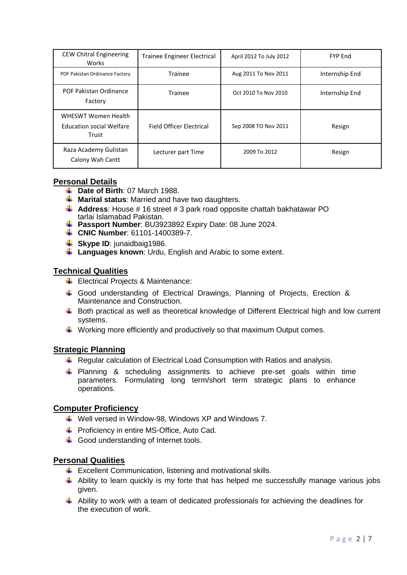| <b>CEW Chitral Engineering</b><br>Works                                | <b>Trainee Engineer Electrical</b> | April 2012 To July 2012 | <b>FYP End</b> |
|------------------------------------------------------------------------|------------------------------------|-------------------------|----------------|
| POF Pakistan Ordinance Factory                                         | Trainee                            | Aug 2011 To Nov 2011    | Internship End |
| POF Pakistan Ordinance<br>Factory                                      | Trainee                            | Oct 2010 To Nov 2010    | Internship End |
| <b>WHESWT Women Health</b><br><b>Education social Welfare</b><br>Trust | <b>Field Officer Flectrical</b>    | Sep 2008 TO Nov 2011    | Resign         |
| Raza Academy Gulistan<br>Calony Wah Cantt                              | Lecturer part Time                 | 2009 To 2012            | Resign         |

#### **Personal Details**

- $\overline{\phantom{a}}$  **Date of Birth**: 07 March 1988.
- **Marital status**: Married and have two daughters.
- **Address**: House # 16 street # 3 park road opposite chattah bakhatawar PO tarlai Islamabad Pakistan.
- **Passport Number**: BU3923892 Expiry Date: 08 June 2024.
- **CNIC Number: 61101-1400389-7.**
- **Skype ID:** junaidbaig1986.
- **Languages known**: Urdu, English and Arabic to some extent.

# **Technical Qualities**

- $\bigstar$  Electrical Projects & Maintenance:
- Good understanding of Electrical Drawings, Planning of Projects, Erection & Maintenance and Construction.
- $\ddot{+}$  Both practical as well as theoretical knowledge of Different Electrical high and low current systems.
- **↓** Working more efficiently and productively so that maximum Output comes.

#### **Strategic Planning**

- **E** Regular calculation of Electrical Load Consumption with Ratios and analysis.
- $\ddot{+}$  Planning & scheduling assignments to achieve pre-set goals within time parameters. Formulating long term/short term strategic plans to enhance operations.

#### **Computer Proficiency**

- $\overline{\textbf{I}}$  Well versed in Window-98, Windows XP and Windows 7.
- **Fall Proficiency in entire MS-Office, Auto Cad.**
- Good understanding of Internet tools.

# **Personal Qualities**

- $\ddot{\phantom{1}}$  Excellent Communication, listening and motivational skills.
- $\ddot$  Ability to learn quickly is my forte that has helped me successfully manage various jobs given.
- $\ddot{\phantom{1}}$  Ability to work with a team of dedicated professionals for achieving the deadlines for the execution of work.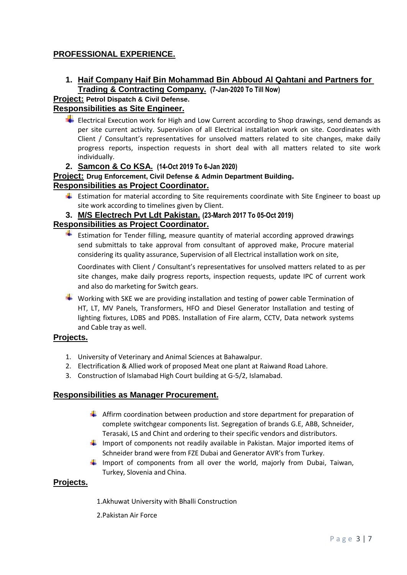# **PROFESSIONAL EXPERIENCE.**

**1. Haif Company Haif Bin Mohammad Bin Abboud Al Qahtani and Partners for Trading & Contracting Company. (7-Jan-2020 To Till Now)**

# **Project: Petrol Dispatch & Civil Defense.**

# **Responsibilities as Site Engineer.**

 $\bigstar$  Electrical Execution work for High and Low Current according to Shop drawings, send demands as per site current activity. Supervision of all Electrical installation work on site. Coordinates with Client / Consultant's representatives for unsolved matters related to site changes, make daily progress reports, inspection requests in short deal with all matters related to site work individually.

# **2. Samcon & Co KSA. (14-Oct 2019 To 6-Jan 2020)**

#### **Project: Drug Enforcement, Civil Defense & Admin Department Building. Responsibilities as Project Coordinator.**

**Estimation for material according to Site requirements coordinate with Site Engineer to boast up** site work according to timelines given by Client.

#### **3. M/S Electrech Pvt Ldt Pakistan. (23-March 2017 To 05-Oct 2019)**

#### **Responsibilities as Project Coordinator.**

 $\blacksquare$  Estimation for Tender filling, measure quantity of material according approved drawings send submittals to take approval from consultant of approved make, Procure material considering its quality assurance, Supervision of all Electrical installation work on site,

Coordinates with Client / Consultant's representatives for unsolved matters related to as per site changes, make daily progress reports, inspection requests, update IPC of current work and also do marketing for Switch gears.

 $\blacktriangleright$  Working with SKE we are providing installation and testing of power cable Termination of HT, LT, MV Panels, Transformers, HFO and Diesel Generator Installation and testing of lighting fixtures, LDBS and PDBS. Installation of Fire alarm, CCTV, Data network systems and Cable tray as well.

#### **Projects.**

- 1. University of Veterinary and Animal Sciences at Bahawalpur.
- 2. Electrification & Allied work of proposed Meat one plant at Raiwand Road Lahore.
- 3. Construction of Islamabad High Court building at G-5/2, Islamabad.

#### **Responsibilities as Manager Procurement.**

- Affirm coordination between production and store department for preparation of complete switchgear components list. Segregation of brands G.E, ABB, Schneider, Terasaki, LS and Chint and ordering to their specific vendors and distributors.
- Import of components not readily available in Pakistan. Major imported items of Schneider brand were from FZE Dubai and Generator AVR's from Turkey.
- Import of components from all over the world, majorly from Dubai, Taiwan, Turkey, Slovenia and China.

#### **Projects.**

- 1.Akhuwat University with Bhalli Construction
- 2.Pakistan Air Force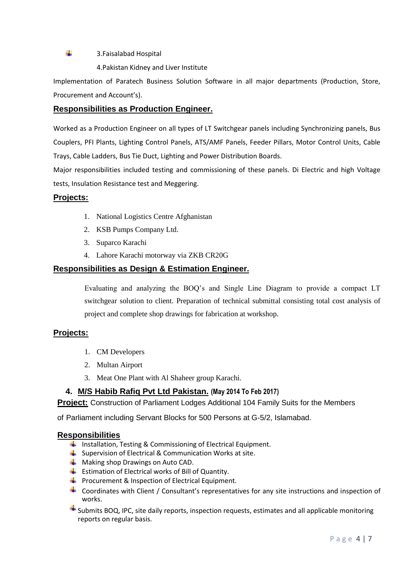#### 3.Faisalabad Hospital

4.Pakistan Kidney and Liver Institute

Implementation of Paratech Business Solution Software in all major departments (Production, Store, Procurement and Account's).

#### **Responsibilities as Production Engineer.**

Worked as a Production Engineer on all types of LT Switchgear panels including Synchronizing panels, Bus Couplers, PFI Plants, Lighting Control Panels, ATS/AMF Panels, Feeder Pillars, Motor Control Units, Cable Trays, Cable Ladders, Bus Tie Duct, Lighting and Power Distribution Boards.

Major responsibilities included testing and commissioning of these panels. Di Electric and high Voltage tests, Insulation Resistance test and Meggering.

#### **Projects:**

4

- 1. National Logistics Centre Afghanistan
- 2. KSB Pumps Company Ltd.
- 3. Suparco Karachi
- 4. Lahore Karachi motorway via ZKB CR20G

#### **Responsibilities as Design & Estimation Engineer.**

Evaluating and analyzing the BOQ's and Single Line Diagram to provide a compact LT switchgear solution to client. Preparation of technical submittal consisting total cost analysis of project and complete shop drawings for fabrication at workshop.

#### **Projects:**

- 1. CM Developers
- 2. Multan Airport
- 3. Meat One Plant with Al Shaheer group Karachi.

# **4. M/S Habib Rafiq Pvt Ltd Pakistan. (May 2014 To Feb 2017)**

**Project:** Construction of Parliament Lodges Additional 104 Family Suits for the Members

of Parliament including Servant Blocks for 500 Persons at G-5/2, Islamabad.

#### **Responsibilities**

- **Installation, Testing & Commissioning of Electrical Equipment.**
- $\frac{1}{2}$  Supervision of Electrical & Communication Works at site.
- **Making shop Drawings on Auto CAD.**
- Estimation of Electrical works of Bill of Quantity.
- **Procurement & Inspection of Electrical Equipment.**
- $\triangleq$  Coordinates with Client / Consultant's representatives for any site instructions and inspection of works.
- $\triangleq$  Submits BOQ, IPC, site daily reports, inspection requests, estimates and all applicable monitoring reports on regular basis.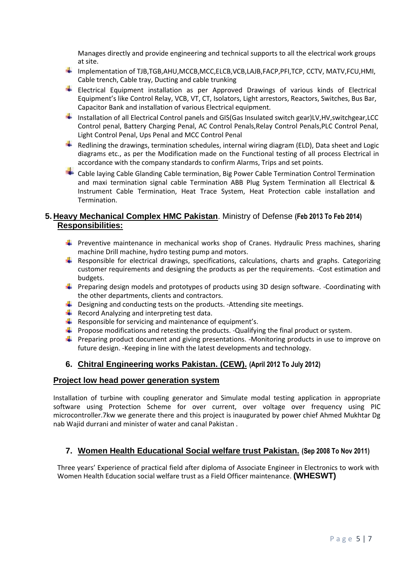Manages directly and provide engineering and technical supports to all the electrical work groups at site.

- $\blacksquare$  Implementation of TJB,TGB,AHU,MCCB,MCC,ELCB,VCB,LAJB,FACP,PFI,TCP, CCTV, MATV,FCU,HMI, Cable trench, Cable tray, Ducting and cable trunking
- Electrical Equipment installation as per Approved Drawings of various kinds of Electrical Equipment's like Control Relay, VCB, VT, CT, Isolators, Light arrestors, Reactors, Switches, Bus Bar, Capacitor Bank and installation of various Electrical equipment.
- -Installation of all Electrical Control panels and GIS(Gas Insulated switch gear)LV,HV,switchgear,LCC Control penal, Battery Charging Penal, AC Control Penals,Relay Control Penals,PLC Control Penal, Light Control Penal, Ups Penal and MCC Control Penal
- a. Redlining the drawings, termination schedules, internal wiring diagram (ELD), Data sheet and Logic diagrams etc., as per the Modification made on the Functional testing of all process Electrical in accordance with the company standards to confirm Alarms, Trips and set points.
- Cable laying Cable Glanding Cable termination, Big Power Cable Termination Control Termination and maxi termination signal cable Termination ABB Plug System Termination all Electrical & Instrument Cable Termination, Heat Trace System, Heat Protection cable installation and Termination.

### **5. Heavy Mechanical Complex HMC Pakistan**. Ministry of Defense **(Feb 2013 To Feb 2014) Responsibilities:**

- **Preventive maintenance in mechanical works shop of Cranes. Hydraulic Press machines, sharing** machine Drill machine, hydro testing pump and motors.
- **Responsible for electrical drawings, specifications, calculations, charts and graphs. Categorizing** customer requirements and designing the products as per the requirements. -Cost estimation and budgets.
- Preparing design models and prototypes of products using 3D design software. -Coordinating with the other departments, clients and contractors.
- $\ddot{+}$  Designing and conducting tests on the products. -Attending site meetings.
- $\frac{1}{\sqrt{2}}$  Record Analyzing and interpreting test data.
- $\downarrow$  Responsible for servicing and maintenance of equipment's.
- **Propose modifications and retesting the products. -Qualifying the final product or system.**
- **Preparing product document and giving presentations. -Monitoring products in use to improve on** future design. -Keeping in line with the latest developments and technology.

#### **6. Chitral Engineering works Pakistan. (CEW). (April 2012 To July 2012)**

#### **Project low head power generation system**

Installation of turbine with coupling generator and Simulate modal testing application in appropriate software using Protection Scheme for over current, over voltage over frequency using PIC microcontroller.7kw we generate there and this project is inaugurated by power chief Ahmed Mukhtar Dg nab Wajid durrani and minister of water and canal Pakistan .

# **7. Women Health Educational Social welfare trust Pakistan. (Sep 2008 To Nov 2011)**

Three years' Experience of practical field after diploma of Associate Engineer in Electronics to work with Women Health Education social welfare trust as a Field Officer maintenance. **(WHESWT)**